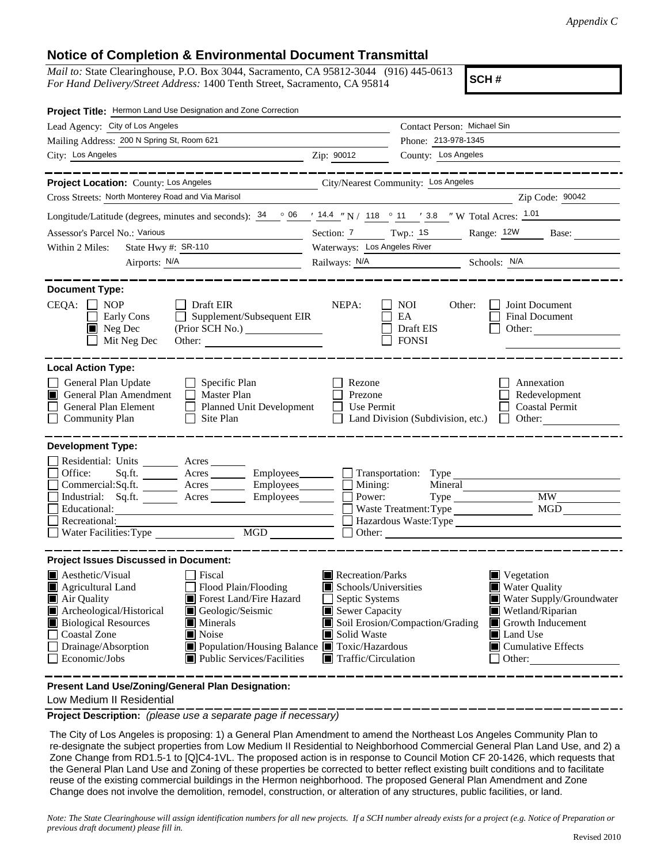## **Notice of Completion & Environmental Document Transmittal**

*Mail to:* State Clearinghouse, P.O. Box 3044, Sacramento, CA 95812-3044 (916) 445-0613 *For Hand Delivery/Street Address:* 1400 Tenth Street, Sacramento, CA 95814

**SCH #**

| Project Title: Hermon Land Use Designation and Zone Correction                                                                                                                                                                                                                                                                                                                           |                                                                                                                                                                                                                                                                                                                                       |                                                                                                                              |
|------------------------------------------------------------------------------------------------------------------------------------------------------------------------------------------------------------------------------------------------------------------------------------------------------------------------------------------------------------------------------------------|---------------------------------------------------------------------------------------------------------------------------------------------------------------------------------------------------------------------------------------------------------------------------------------------------------------------------------------|------------------------------------------------------------------------------------------------------------------------------|
| Lead Agency: City of Los Angeles                                                                                                                                                                                                                                                                                                                                                         |                                                                                                                                                                                                                                                                                                                                       | Contact Person: Michael Sin                                                                                                  |
| Mailing Address: 200 N Spring St, Room 621                                                                                                                                                                                                                                                                                                                                               |                                                                                                                                                                                                                                                                                                                                       | Phone: 213-978-1345                                                                                                          |
| City: Los Angeles<br><u>2ip: 90012</u> Zip: 90012                                                                                                                                                                                                                                                                                                                                        |                                                                                                                                                                                                                                                                                                                                       | County: Los Angeles                                                                                                          |
| Project Location: County: Los Angeles<br>Cross Streets: North Monterey Road and Via Marisol                                                                                                                                                                                                                                                                                              | City/Nearest Community: Los Angeles                                                                                                                                                                                                                                                                                                   | _____________<br>Zip Code: 90042                                                                                             |
| Longitude/Latitude (degrees, minutes and seconds): $\frac{34}{9}$ $\frac{06}{14.4}$ $\frac{14.4}{14}$ N / 118 $\degree$ 11 $\degree$ 3.8 $\degree$ W Total Acres: $\frac{1.01}{14.4}$                                                                                                                                                                                                    |                                                                                                                                                                                                                                                                                                                                       |                                                                                                                              |
|                                                                                                                                                                                                                                                                                                                                                                                          |                                                                                                                                                                                                                                                                                                                                       |                                                                                                                              |
| Assessor's Parcel No.: Various<br><u> 1989 - Johann Barn, mars ann an t-Amhain Aonaich an t-Aonaich an t-Aonaich ann an t-Aonaich ann an t-Aonaich</u><br>State Hwy #: $\frac{\text{SR-110}}{\text{SR-110}}$<br>Within 2 Miles:                                                                                                                                                          | Waterways: Los Angeles River                                                                                                                                                                                                                                                                                                          | Section: 7 Twp.: 1S Range: 12W Base:                                                                                         |
| Airports: <u>N/A</u>                                                                                                                                                                                                                                                                                                                                                                     |                                                                                                                                                                                                                                                                                                                                       | Railways: N/A Schools: N/A Schools: N/A                                                                                      |
|                                                                                                                                                                                                                                                                                                                                                                                          |                                                                                                                                                                                                                                                                                                                                       |                                                                                                                              |
| <b>Document Type:</b><br>$CEQA: \Box NP$<br>$\Box$ Draft EIR<br>Supplement/Subsequent EIR<br>Early Cons<br>$\blacksquare$ Neg Dec<br>Mit Neg Dec<br>Other:                                                                                                                                                                                                                               | NEPA:                                                                                                                                                                                                                                                                                                                                 | <b>NOI</b><br>Other:<br>Joint Document<br>EA<br><b>Final Document</b><br>Draft EIS<br>Other: $\qquad \qquad$<br><b>FONSI</b> |
| <b>Local Action Type:</b>                                                                                                                                                                                                                                                                                                                                                                |                                                                                                                                                                                                                                                                                                                                       |                                                                                                                              |
| General Plan Update<br>Specific Plan<br>General Plan Amendment<br>Master Plan<br>I II<br>General Plan Element<br>Planned Unit Development<br><b>Community Plan</b><br>Site Plan                                                                                                                                                                                                          | Rezone<br>Prezone<br>Use Permit<br>$\mathsf{L}$                                                                                                                                                                                                                                                                                       | Annexation<br>Redevelopment<br><b>Coastal Permit</b><br>Other:<br>Land Division (Subdivision, etc.)                          |
| <b>Development Type:</b><br>Residential: Units ________ Acres ______<br>Office:<br>Sq.ft. _________ Acres ___________ Employees________<br>Commercial:Sq.ft. ________ Acres _________ Employees_______<br>Industrial: Sq.ft. Acres Employees<br>Educational:<br>Recreational:<br>MGD <sup>1</sup><br>Water Facilities: Type                                                              | $\Box$ Mining:<br>Power:                                                                                                                                                                                                                                                                                                              | Mineral<br><b>MW</b><br>Waste Treatment: Type MGD<br>Hazardous Waste:Type<br>Other:                                          |
| <b>Project Issues Discussed in Document:</b>                                                                                                                                                                                                                                                                                                                                             |                                                                                                                                                                                                                                                                                                                                       |                                                                                                                              |
| Aesthetic/Visual<br>  Fiscal<br>$\Box$ Flood Plain/Flooding<br>Agricultural Land<br>Forest Land/Fire Hazard<br>Air Quality<br>Archeological/Historical<br>Geologic/Seismic<br><b>Biological Resources</b><br>Minerals<br>Noise<br><b>Coastal Zone</b><br>Population/Housing Balance Toxic/Hazardous<br>Drainage/Absorption<br>$\blacksquare$ Public Services/Facilities<br>Economic/Jobs | Recreation/Parks<br>$\blacksquare$ Vegetation<br>Schools/Universities<br>■ Water Quality<br>Septic Systems<br>Water Supply/Groundwater<br>Sewer Capacity<br>Wetland/Riparian<br>Soil Erosion/Compaction/Grading<br>Growth Inducement<br>Solid Waste<br>Land Use<br>$\blacksquare$ Cumulative Effects<br>Traffic/Circulation<br>Other: |                                                                                                                              |

**Present Land Use/Zoning/General Plan Designation:**

Low Medium II Residential

**Project Description:** *(please use a separate page if necessary)*

 The City of Los Angeles is proposing: 1) a General Plan Amendment to amend the Northeast Los Angeles Community Plan to re-designate the subject properties from Low Medium II Residential to Neighborhood Commercial General Plan Land Use, and 2) a Zone Change from RD1.5-1 to [Q]C4-1VL. The proposed action is in response to Council Motion CF 20-1426, which requests that the General Plan Land Use and Zoning of these properties be corrected to better reflect existing built conditions and to facilitate reuse of the existing commercial buildings in the Hermon neighborhood. The proposed General Plan Amendment and Zone Change does not involve the demolition, remodel, construction, or alteration of any structures, public facilities, or land.

*Note: The State Clearinghouse will assign identification numbers for all new projects. If a SCH number already exists for a project (e.g. Notice of Preparation or previous draft document) please fill in.*